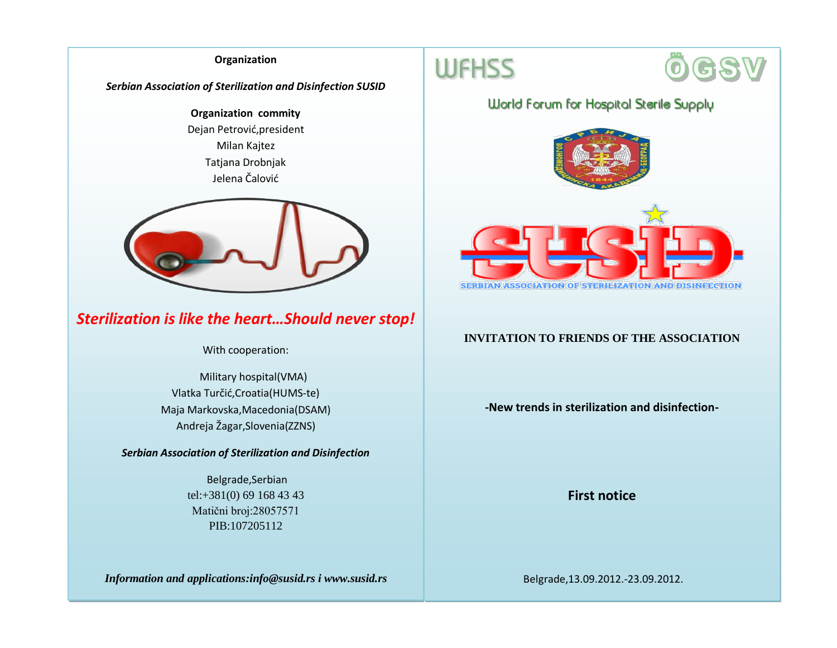#### **Organization**

*Serbian Association of Sterilization and Disinfection SUSID*

**Organization commity** Dejan Petrović,president Milan Kajtez Tatjana Drobnjak Jelena Čalović



# *Sterilization is like the heart…Should never stop!*

With cooperation:

 Military hospital(VMA) Vlatka Turčić,Croatia(HUMS-te) Maja Markovska,Macedonia(DSAM) Andreja Žagar,Slovenia(ZZNS)

*Serbian Association of Sterilization and Disinfection*

Belgrade,Serbian tel:+381(0) 69 168 43 43 Matični broj:28057571 PIB:107205112

*Information and applications:info@susid.rs i www.susid.rs*





## **World Forum for Hospital Sterile Supply**





### **INVITATION TO FRIENDS OF THE ASSOCIATION**

**-New trends in sterilization and disinfection-**

**First notice**

Belgrade,13.09.2012.-23.09.2012.